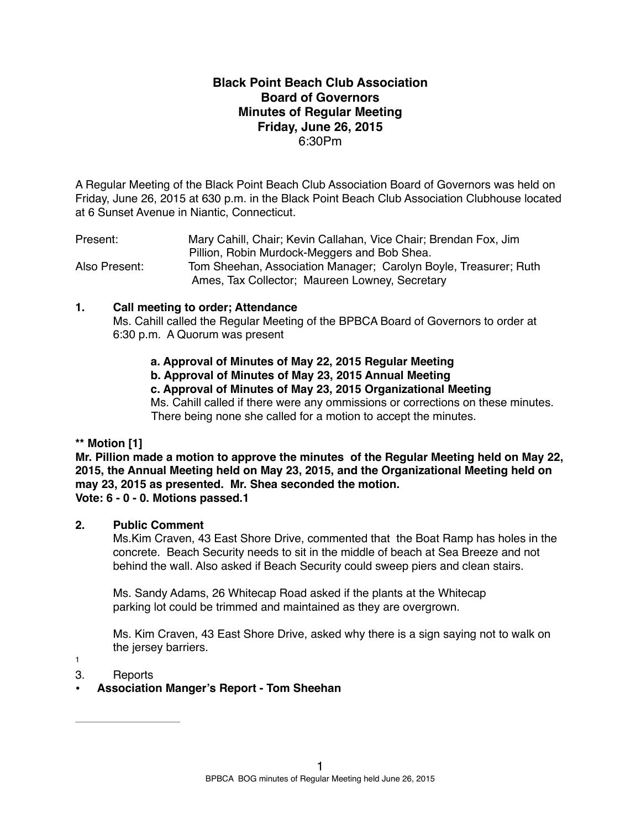# **Black Point Beach Club Association Board of Governors Minutes of Regular Meeting Friday, June 26, 2015** 6:30Pm

A Regular Meeting of the Black Point Beach Club Association Board of Governors was held on Friday, June 26, 2015 at 630 p.m. in the Black Point Beach Club Association Clubhouse located at 6 Sunset Avenue in Niantic, Connecticut.

Present: Mary Cahill, Chair; Kevin Callahan, Vice Chair; Brendan Fox, Jim Pillion, Robin Murdock-Meggers and Bob Shea. Also Present: Tom Sheehan, Association Manager; Carolyn Boyle, Treasurer; Ruth Ames, Tax Collector; Maureen Lowney, Secretary

## **1. Call meeting to order; Attendance**

Ms. Cahill called the Regular Meeting of the BPBCA Board of Governors to order at 6:30 p.m. A Quorum was present

## **a. Approval of Minutes of May 22, 2015 Regular Meeting**

**b. Approval of Minutes of May 23, 2015 Annual Meeting**

#### **c. Approval of Minutes of May 23, 2015 Organizational Meeting**

Ms. Cahill called if there were any ommissions or corrections on these minutes. There being none she called for a motion to accept the minutes.

## **\*\* Motion [1]**

**Mr. Pillion made a motion to approve the minutes of the Regular Meeting held on May 22, 2015, the Annual Meeting held on May 23, 2015, and the Organizational Meeting held on may 23, 2015 as presented. Mr. Shea seconded the motion. Vote: 6 - 0 - 0. Motions passed.1**

## **2. Public Comment**

Ms.Kim Craven, 43 East Shore Drive, commented that the Boat Ramp has holes in the concrete. Beach Security needs to sit in the middle of beach at Sea Breeze and not behind the wall. Also asked if Beach Security could sweep piers and clean stairs.

Ms. Sandy Adams, 26 Whitecap Road asked if the plants at the Whitecap parking lot could be trimmed and maintained as they are overgrown.

Ms. Kim Craven, 43 East Shore Drive, asked why there is a sign saying not to walk on the jersey barriers.

1

3. Reports

## **• Association Manger's Report - Tom Sheehan**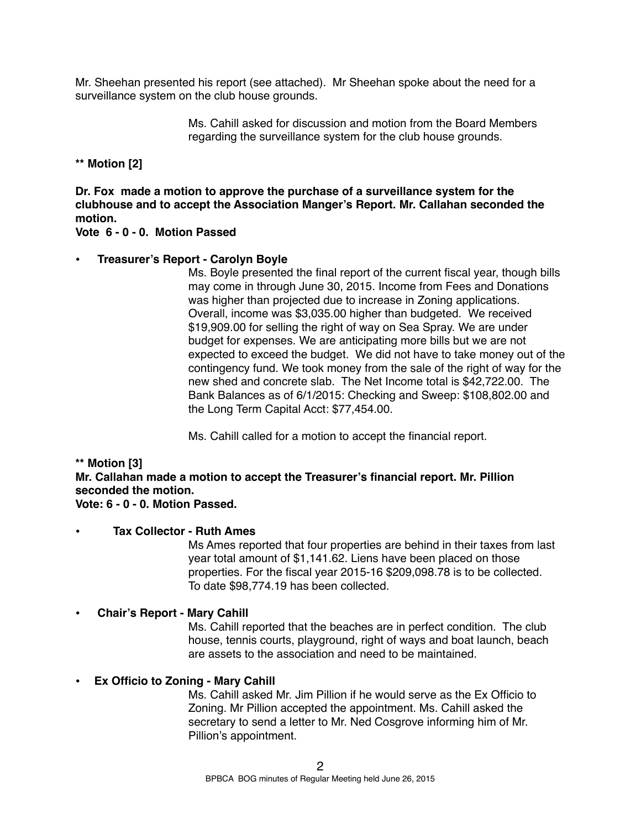Mr. Sheehan presented his report (see attached). Mr Sheehan spoke about the need for a surveillance system on the club house grounds.

> Ms. Cahill asked for discussion and motion from the Board Members regarding the surveillance system for the club house grounds.

**\*\* Motion [2]**

**Dr. Fox made a motion to approve the purchase of a surveillance system for the clubhouse and to accept the Association Manger's Report. Mr. Callahan seconded the motion.**

**Vote 6 - 0 - 0. Motion Passed** 

## **• Treasurer's Report - Carolyn Boyle**

Ms. Boyle presented the final report of the current fiscal year, though bills may come in through June 30, 2015. Income from Fees and Donations was higher than projected due to increase in Zoning applications. Overall, income was \$3,035.00 higher than budgeted. We received \$19,909.00 for selling the right of way on Sea Spray. We are under budget for expenses. We are anticipating more bills but we are not expected to exceed the budget. We did not have to take money out of the contingency fund. We took money from the sale of the right of way for the new shed and concrete slab. The Net Income total is \$42,722.00. The Bank Balances as of 6/1/2015: Checking and Sweep: \$108,802.00 and the Long Term Capital Acct: \$77,454.00.

Ms. Cahill called for a motion to accept the financial report.

## **\*\* Motion [3]**

**Mr. Callahan made a motion to accept the Treasurer's financial report. Mr. Pillion seconded the motion. Vote: 6 - 0 - 0. Motion Passed.**

# **• Tax Collector - Ruth Ames** Ms Ames reported that four properties are behind in their taxes from last year total amount of \$1,141.62. Liens have been placed on those

properties. For the fiscal year 2015-16 \$209,098.78 is to be collected. To date \$98,774.19 has been collected.

# **• Chair's Report - Mary Cahill**

Ms. Cahill reported that the beaches are in perfect condition. The club house, tennis courts, playground, right of ways and boat launch, beach are assets to the association and need to be maintained.

# **• Ex Officio to Zoning - Mary Cahill**

Ms. Cahill asked Mr. Jim Pillion if he would serve as the Ex Officio to Zoning. Mr Pillion accepted the appointment. Ms. Cahill asked the secretary to send a letter to Mr. Ned Cosgrove informing him of Mr. Pillion's appointment.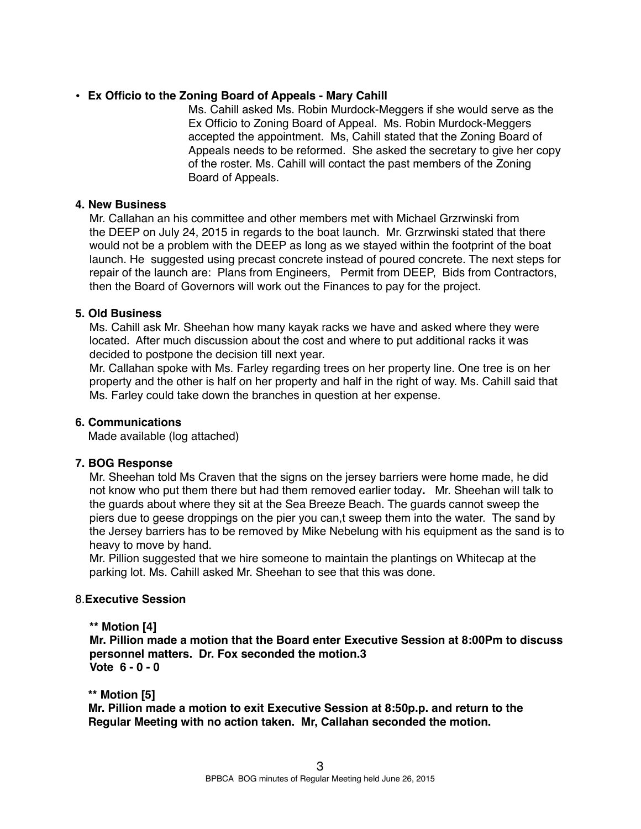## • **Ex Officio to the Zoning Board of Appeals - Mary Cahill**

Ms. Cahill asked Ms. Robin Murdock-Meggers if she would serve as the Ex Officio to Zoning Board of Appeal. Ms. Robin Murdock-Meggers accepted the appointment. Ms, Cahill stated that the Zoning Board of Appeals needs to be reformed. She asked the secretary to give her copy of the roster. Ms. Cahill will contact the past members of the Zoning Board of Appeals.

## **4. New Business**

Mr. Callahan an his committee and other members met with Michael Grzrwinski from the DEEP on July 24, 2015 in regards to the boat launch. Mr. Grzrwinski stated that there would not be a problem with the DEEP as long as we stayed within the footprint of the boat launch. He suggested using precast concrete instead of poured concrete. The next steps for repair of the launch are: Plans from Engineers, Permit from DEEP, Bids from Contractors, then the Board of Governors will work out the Finances to pay for the project.

# **5. Old Business**

Ms. Cahill ask Mr. Sheehan how many kayak racks we have and asked where they were located. After much discussion about the cost and where to put additional racks it was decided to postpone the decision till next year.

Mr. Callahan spoke with Ms. Farley regarding trees on her property line. One tree is on her property and the other is half on her property and half in the right of way. Ms. Cahill said that Ms. Farley could take down the branches in question at her expense.

## **6. Communications**

Made available (log attached)

## **7. BOG Response**

Mr. Sheehan told Ms Craven that the signs on the jersey barriers were home made, he did not know who put them there but had them removed earlier today**.** Mr. Sheehan will talk to the guards about where they sit at the Sea Breeze Beach. The guards cannot sweep the piers due to geese droppings on the pier you can,t sweep them into the water. The sand by the Jersey barriers has to be removed by Mike Nebelung with his equipment as the sand is to heavy to move by hand.

Mr. Pillion suggested that we hire someone to maintain the plantings on Whitecap at the parking lot. Ms. Cahill asked Mr. Sheehan to see that this was done.

## 8.**Executive Session**

## **\*\* Motion [4]**

**Mr. Pillion made a motion that the Board enter Executive Session at 8:00Pm to discuss personnel matters. Dr. Fox seconded the motion.3 Vote 6 - 0 - 0** 

## **\*\* Motion [5]**

 **Mr. Pillion made a motion to exit Executive Session at 8:50p.p. and return to the Regular Meeting with no action taken. Mr, Callahan seconded the motion.**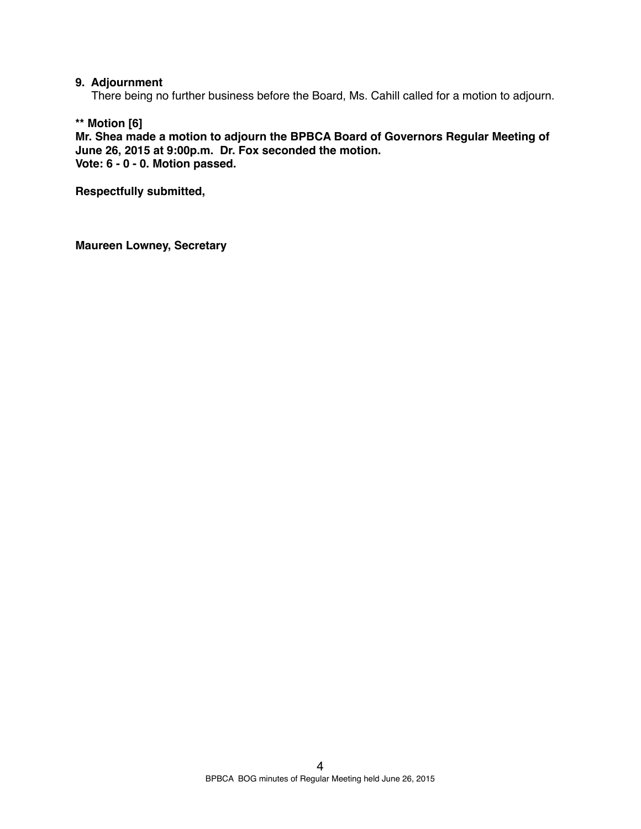#### **9. Adjournment**

There being no further business before the Board, Ms. Cahill called for a motion to adjourn.

**\*\* Motion [6]**

**Mr. Shea made a motion to adjourn the BPBCA Board of Governors Regular Meeting of June 26, 2015 at 9:00p.m. Dr. Fox seconded the motion. Vote: 6 - 0 - 0. Motion passed.**

**Respectfully submitted,**

**Maureen Lowney, Secretary**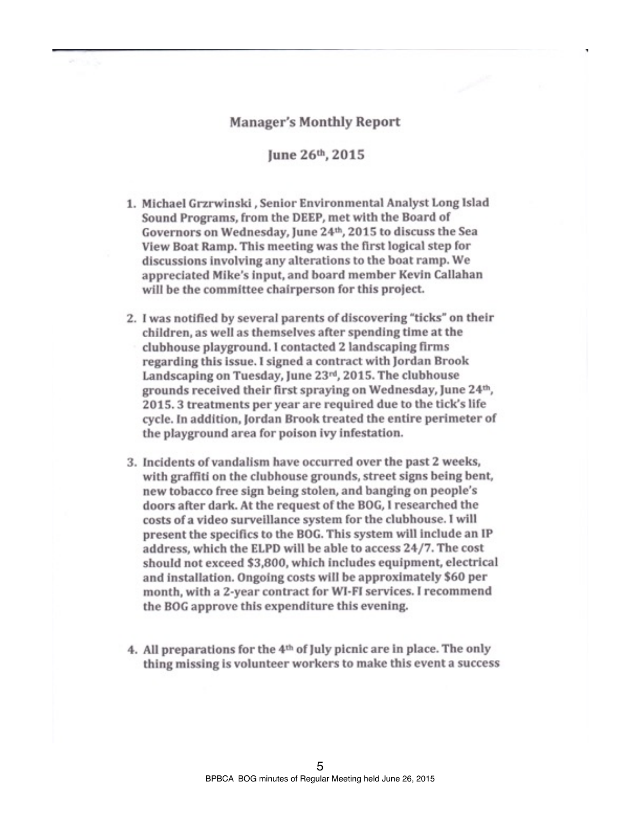#### **Manager's Monthly Report**

June 26th, 2015

- 1. Michael Grzrwinski, Senior Environmental Analyst Long Islad Sound Programs, from the DEEP, met with the Board of Governors on Wednesday, June 24th, 2015 to discuss the Sea View Boat Ramp. This meeting was the first logical step for discussions involving any alterations to the boat ramp. We appreciated Mike's input, and board member Kevin Callahan will be the committee chairperson for this project.
- 2. I was notified by several parents of discovering "ticks" on their children, as well as themselves after spending time at the clubhouse playground. I contacted 2 landscaping firms regarding this issue. I signed a contract with Jordan Brook Landscaping on Tuesday, June 23rd, 2015. The clubhouse grounds received their first spraying on Wednesday, June 24th, 2015. 3 treatments per year are required due to the tick's life cycle. In addition, Jordan Brook treated the entire perimeter of the playground area for poison ivy infestation.
- 3. Incidents of vandalism have occurred over the past 2 weeks, with graffiti on the clubhouse grounds, street signs being bent, new tobacco free sign being stolen, and banging on people's doors after dark. At the request of the BOG, I researched the costs of a video surveillance system for the clubhouse. I will present the specifics to the BOG. This system will include an IP address, which the ELPD will be able to access 24/7. The cost should not exceed \$3,800, which includes equipment, electrical and installation. Ongoing costs will be approximately \$60 per month, with a 2-year contract for WI-FI services. I recommend the BOG approve this expenditure this evening.
- 4. All preparations for the 4<sup>th</sup> of July picnic are in place. The only thing missing is volunteer workers to make this event a success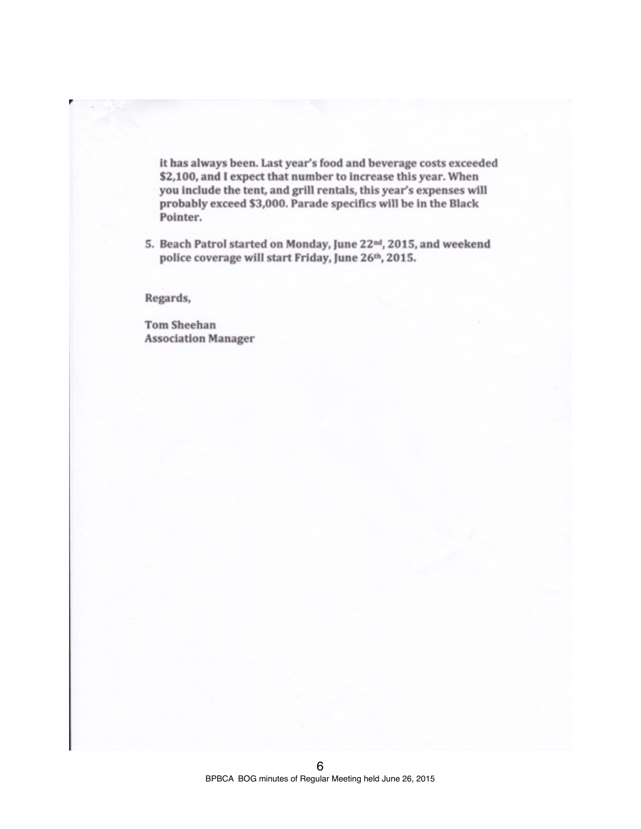it has always been. Last year's food and beverage costs exceeded \$2,100, and I expect that number to increase this year. When you include the tent, and grill rentals, this year's expenses will probably exceed \$3,000. Parade specifics will be in the Black Pointer.

5. Beach Patrol started on Monday, June 22<sup>nd</sup>, 2015, and weekend police coverage will start Friday, June 26th, 2015.

Regards,

**Tom Sheehan Association Manager**